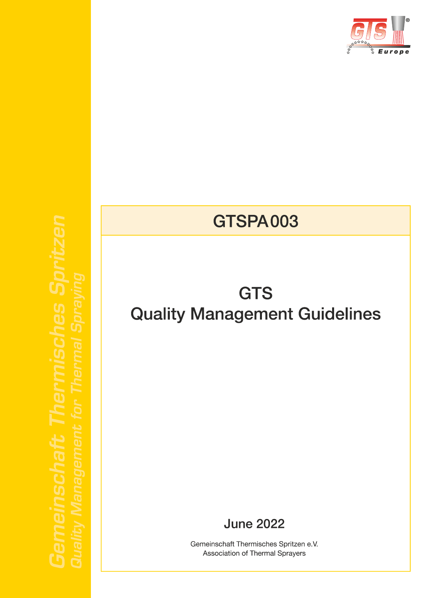

# **GTSPA003**

# **GTS Quality Management Guidelines**

**June 2022** 

Gemeinschaft Thermisches Spritzen e.V. Association of Thermal Sprayers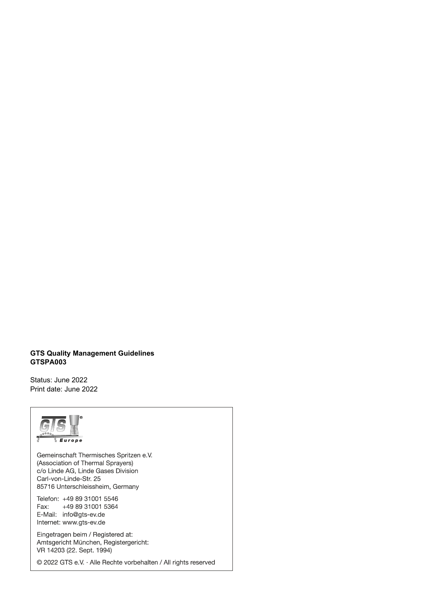#### **GTS Quality Management Guidelines GTSPA003**

Status: June 2022 Print date: June 2022

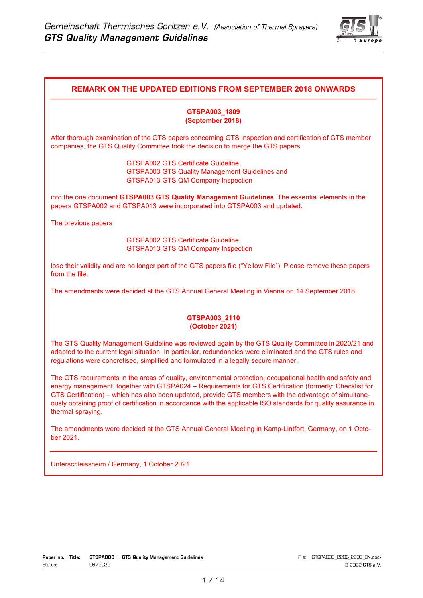

#### **REMARK ON THE UPDATED EDITIONS FROM SEPTEMBER 2018 ONWARDS**

#### **GTSPA003\_1809 (September 2018)**

After thorough examination of the GTS papers concerning GTS inspection and certification of GTS member companies, the GTS Quality Committee took the decision to merge the GTS papers

> GTSPA002 GTS Certificate Guideline, GTSPA003 GTS Quality Management Guidelines and GTSPA013 GTS QM Company Inspection

into the one document **GTSPA003 GTS Quality Management Guidelines**. The essential elements in the papers GTSPA002 and GTSPA013 were incorporated into GTSPA003 and updated.

The previous papers

 GTSPA002 GTS Certificate Guideline, GTSPA013 GTS QM Company Inspection

lose their validity and are no longer part of the GTS papers file ("Yellow File"). Please remove these papers from the file.

The amendments were decided at the GTS Annual General Meeting in Vienna on 14 September 2018.

#### **GTSPA003\_2110 (October 2021)**

The GTS Quality Management Guideline was reviewed again by the GTS Quality Committee in 2020/21 and adapted to the current legal situation. In particular, redundancies were eliminated and the GTS rules and regulations were concretised, simplified and formulated in a legally secure manner.

The GTS requirements in the areas of quality, environmental protection, occupational health and safety and energy management, together with GTSPA024 – Requirements for GTS Certification (formerly: Checklist for GTS Certification) – which has also been updated, provide GTS members with the advantage of simultaneously obtaining proof of certification in accordance with the applicable ISO standards for quality assurance in thermal spraying.

The amendments were decided at the GTS Annual General Meeting in Kamp-Lintfort, Germany, on 1 October 2021.

Unterschleissheim / Germany, 1 October 2021

| Title:<br>Paper no. | <b>GTS</b><br>GTSPA003<br>Guidelines<br>Quality Management | -ıle | חתכז<br>Jbi<br>HN.docx<br>~~<br>--<br>--- |
|---------------------|------------------------------------------------------------|------|-------------------------------------------|
| Status:             | תפחפל.<br>า⊂<br>----                                       |      | $\sim$ TC<br>e. V                         |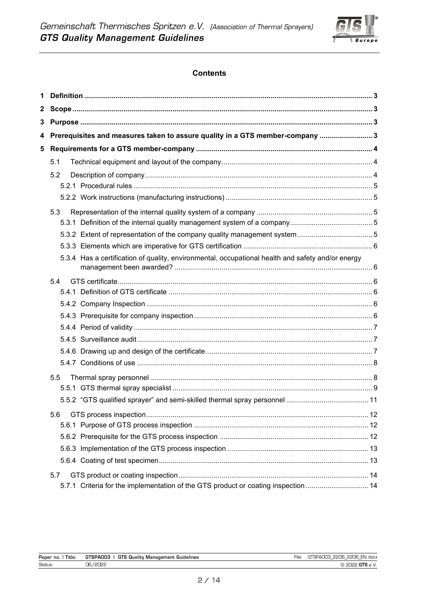

# **Contents**

| 1 |                                                                                                   |  |
|---|---------------------------------------------------------------------------------------------------|--|
| 2 |                                                                                                   |  |
| 3 |                                                                                                   |  |
| 4 | Prerequisites and measures taken to assure quality in a GTS member-company  3                     |  |
| 5 |                                                                                                   |  |
|   | 5.1                                                                                               |  |
|   | 5.2                                                                                               |  |
|   |                                                                                                   |  |
|   |                                                                                                   |  |
|   | 5.3                                                                                               |  |
|   |                                                                                                   |  |
|   |                                                                                                   |  |
|   |                                                                                                   |  |
|   | 5.3.4 Has a certification of quality, environmental, occupational health and safety and/or energy |  |
|   | 5.4                                                                                               |  |
|   |                                                                                                   |  |
|   |                                                                                                   |  |
|   |                                                                                                   |  |
|   |                                                                                                   |  |
|   |                                                                                                   |  |
|   |                                                                                                   |  |
|   |                                                                                                   |  |
|   | 5.5                                                                                               |  |
|   |                                                                                                   |  |
|   |                                                                                                   |  |
|   | 5.6                                                                                               |  |
|   |                                                                                                   |  |
|   |                                                                                                   |  |
|   |                                                                                                   |  |
|   |                                                                                                   |  |
|   | 5.7                                                                                               |  |
|   | 5.7.1 Criteria for the implementation of the GTS product or coating inspection  14                |  |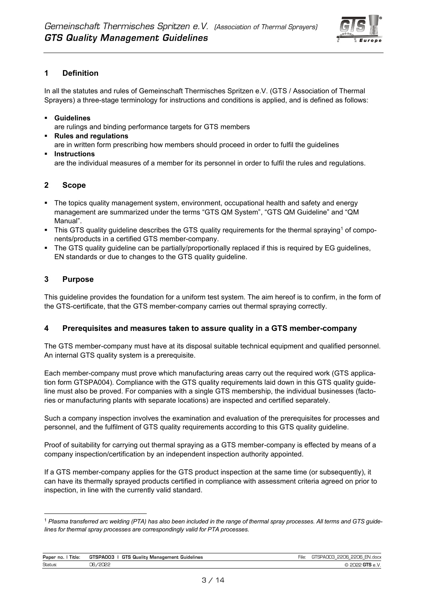

# **1 Definition**

In all the statutes and rules of Gemeinschaft Thermisches Spritzen e.V. (GTS / Association of Thermal Sprayers) a three-stage terminology for instructions and conditions is applied, and is defined as follows:

- **Guidelines** are rulings and binding performance targets for GTS members
- **Rules and regulations** are in written form prescribing how members should proceed in order to fulfil the guidelines
- **Instructions** are the individual measures of a member for its personnel in order to fulfil the rules and regulations.

# **2 Scope**

- The topics quality management system, environment, occupational health and safety and energy management are summarized under the terms "GTS QM System", "GTS QM Guideline" and "QM Manual".
- This GTS quality guideline describes the GTS quality requirements for the thermal spraying<sup>1</sup> of components/products in a certified GTS member-company.
- The GTS quality guideline can be partially/proportionally replaced if this is required by EG guidelines, EN standards or due to changes to the GTS quality guideline.

# **3 Purpose**

This guideline provides the foundation for a uniform test system. The aim hereof is to confirm, in the form of the GTS-certificate, that the GTS member-company carries out thermal spraying correctly.

## **4 Prerequisites and measures taken to assure quality in a GTS member-company**

The GTS member-company must have at its disposal suitable technical equipment and qualified personnel. An internal GTS quality system is a prerequisite.

Each member-company must prove which manufacturing areas carry out the required work (GTS application form GTSPA004). Compliance with the GTS quality requirements laid down in this GTS quality guideline must also be proved. For companies with a single GTS membership, the individual businesses (factories or manufacturing plants with separate locations) are inspected and certified separately.

Such a company inspection involves the examination and evaluation of the prerequisites for processes and personnel, and the fulfilment of GTS quality requirements according to this GTS quality guideline.

Proof of suitability for carrying out thermal spraying as a GTS member-company is effected by means of a company inspection/certification by an independent inspection authority appointed.

If a GTS member-company applies for the GTS product inspection at the same time (or subsequently), it can have its thermally sprayed products certified in compliance with assessment criteria agreed on prior to inspection, in line with the currently valid standard.

<sup>1</sup> *Plasma transferred arc welding (PTA) has also been included in the range of thermal spray processes. All terms and GTS guidelines for thermal spray processes are correspondingly valid for PTA processes.*

| Paper no.<br>l itle: | GTSPA003<br>Guidelines<br><b>GTS</b><br>`` Manadement .<br>. Qualitv ' | $- \cdot$<br>-ile. | ገ206 EN.docx<br><b>PPOR</b><br>–⊔/\'<br>. ra<br>$-$<br>$-$<br>$\sim$ |
|----------------------|------------------------------------------------------------------------|--------------------|----------------------------------------------------------------------|
| Status:              | /2022<br>----                                                          |                    |                                                                      |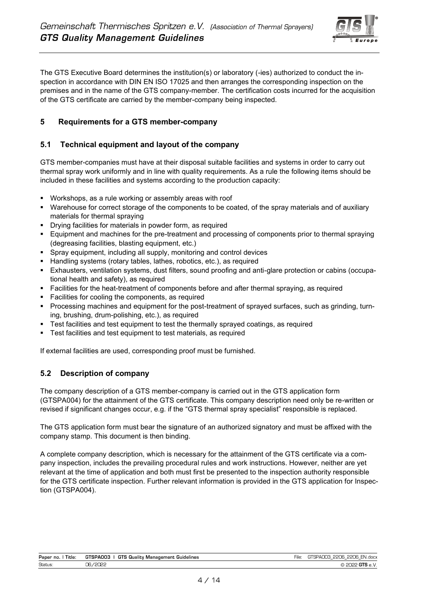

The GTS Executive Board determines the institution(s) or laboratory (-ies) authorized to conduct the inspection in accordance with DIN EN ISO 17025 and then arranges the corresponding inspection on the premises and in the name of the GTS company-member. The certification costs incurred for the acquisition of the GTS certificate are carried by the member-company being inspected.

## **5 Requirements for a GTS member-company**

## **5.1 Technical equipment and layout of the company**

GTS member-companies must have at their disposal suitable facilities and systems in order to carry out thermal spray work uniformly and in line with quality requirements. As a rule the following items should be included in these facilities and systems according to the production capacity:

- Workshops, as a rule working or assembly areas with roof
- Warehouse for correct storage of the components to be coated, of the spray materials and of auxiliary materials for thermal spraying
- Drying facilities for materials in powder form, as required
- **Equipment and machines for the pre-treatment and processing of components prior to thermal spraying** (degreasing facilities, blasting equipment, etc.)
- Spray equipment, including all supply, monitoring and control devices
- Handling systems (rotary tables, lathes, robotics, etc.), as required
- Exhausters, ventilation systems, dust filters, sound proofing and anti-glare protection or cabins (occupational health and safety), as required
- Facilities for the heat-treatment of components before and after thermal spraying, as required
- Facilities for cooling the components, as required
- Processing machines and equipment for the post-treatment of sprayed surfaces, such as grinding, turning, brushing, drum-polishing, etc.), as required
- **EXECT** Test facilities and test equipment to test the thermally sprayed coatings, as required
- Test facilities and test equipment to test materials, as required

If external facilities are used, corresponding proof must be furnished.

# **5.2 Description of company**

The company description of a GTS member-company is carried out in the GTS application form (GTSPA004) for the attainment of the GTS certificate. This company description need only be re-written or revised if significant changes occur, e.g. if the "GTS thermal spray specialist" responsible is replaced.

The GTS application form must bear the signature of an authorized signatory and must be affixed with the company stamp. This document is then binding.

A complete company description, which is necessary for the attainment of the GTS certificate via a company inspection, includes the prevailing procedural rules and work instructions. However, neither are yet relevant at the time of application and both must first be presented to the inspection authority responsible for the GTS certificate inspection. Further relevant information is provided in the GTS application for Inspection (GTSPA004).

| Title:<br>Paper no. | GTSPA003<br>. .<br><b>GTS</b><br>Guidelines<br>Quality<br>' Manadement | $-$<br>٦le | EN.docx<br>0000<br>$\sim$<br>$\sim$<br>2206<br>5 PAUL<br>--<br>--<br>$-$<br>$\equiv$ |
|---------------------|------------------------------------------------------------------------|------------|--------------------------------------------------------------------------------------|
| Status:             | 1000<br>$\sim$<br>໋<br>2022.<br>ں۔                                     |            | $\sim$<br>. .                                                                        |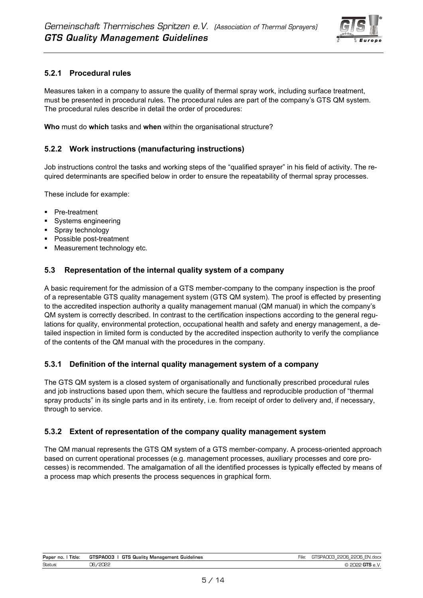

# **5.2.1 Procedural rules**

Measures taken in a company to assure the quality of thermal spray work, including surface treatment, must be presented in procedural rules. The procedural rules are part of the company's GTS QM system. The procedural rules describe in detail the order of procedures:

<span id="page-6-0"></span>**Who** must do **which** tasks and **when** within the organisational structure?

## **5.2.2 Work instructions (manufacturing instructions)**

Job instructions control the tasks and working steps of the "qualified sprayer" in his field of activity. The required determinants are specified below in order to ensure the repeatability of thermal spray processes.

These include for example:

- Pre-treatment
- Systems engineering
- Spray technology
- Possible post-treatment
- Measurement technology etc.

## **5.3 Representation of the internal quality system of a company**

A basic requirement for the admission of a GTS member-company to the company inspection is the proof of a representable GTS quality management system (GTS QM system). The proof is effected by presenting to the accredited inspection authority a quality management manual (QM manual) in which the company's QM system is correctly described. In contrast to the certification inspections according to the general regulations for quality, environmental protection, occupational health and safety and energy management, a detailed inspection in limited form is conducted by the accredited inspection authority to verify the compliance of the contents of the QM manual with the procedures in the company.

#### **5.3.1 Definition of the internal quality management system of a company**

The GTS QM system is a closed system of organisationally and functionally prescribed procedural rules and job instructions based upon them, which secure the faultless and reproducible production of "thermal spray products" in its single parts and in its entirety, i.e. from receipt of order to delivery and, if necessary, through to service.

#### **5.3.2 Extent of representation of the company quality management system**

The QM manual represents the GTS QM system of a GTS member-company. A process-oriented approach based on current operational processes (e.g. management processes, auxiliary processes and core processes) is recommended. The amalgamation of all the identified processes is typically effected by means of a process map which presents the process sequences in graphical form.

| Paper no.<br>Title: | GTSPA003<br><b>GTS</b><br>i Qualitv Management<br>Guidelines | $\sim$ | 2206<br><b>PPOR</b><br>EN.docx<br>ו∧∟∹<br>--<br>---- |
|---------------------|--------------------------------------------------------------|--------|------------------------------------------------------|
| Status              | า⊂<br>تستا<br>----                                           |        | . .                                                  |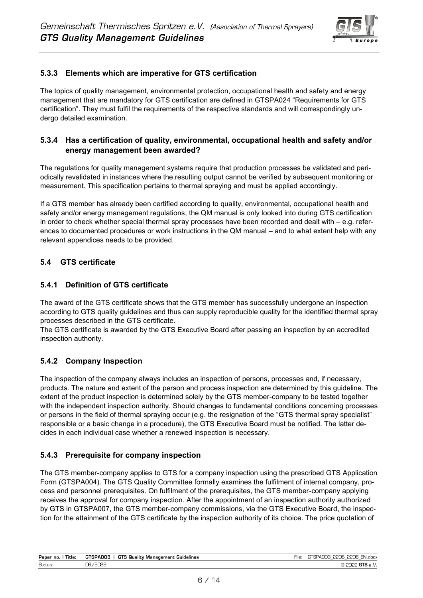

## **5.3.3 Elements which are imperative for GTS certification**

The topics of quality management, environmental protection, occupational health and safety and energy management that are mandatory for GTS certification are defined in GTSPA024 "Requirements for GTS certification". They must fulfil the requirements of the respective standards and will correspondingly undergo detailed examination.

# **5.3.4 Has a certification of quality, environmental, occupational health and safety and/or energy management been awarded?**

The regulations for quality management systems require that production processes be validated and periodically revalidated in instances where the resulting output cannot be verified by subsequent monitoring or measurement. This specification pertains to thermal spraying and must be applied accordingly.

If a GTS member has already been certified according to quality, environmental, occupational health and safety and/or energy management regulations, the QM manual is only looked into during GTS certification in order to check whether special thermal spray processes have been recorded and dealt with – e.g. references to documented procedures or work instructions in the QM manual – and to what extent help with any relevant appendices needs to be provided.

# **5.4 GTS certificate**

## **5.4.1 Definition of GTS certificate**

The award of the GTS certificate shows that the GTS member has successfully undergone an inspection according to GTS quality guidelines and thus can supply reproducible quality for the identified thermal spray processes described in the GTS certificate.

The GTS certificate is awarded by the GTS Executive Board after passing an inspection by an accredited inspection authority.

## **5.4.2 Company Inspection**

The inspection of the company always includes an inspection of persons, processes and, if necessary, products. The nature and extent of the person and process inspection are determined by this guideline. The extent of the product inspection is determined solely by the GTS member-company to be tested together with the independent inspection authority. Should changes to fundamental conditions concerning processes or persons in the field of thermal spraying occur (e.g. the resignation of the "GTS thermal spray specialist" responsible or a basic change in a procedure), the GTS Executive Board must be notified. The latter decides in each individual case whether a renewed inspection is necessary.

## **5.4.3 Prerequisite for company inspection**

The GTS member-company applies to GTS for a company inspection using the prescribed GTS Application Form (GTSPA004). The GTS Quality Committee formally examines the fulfilment of internal company, process and personnel prerequisites. On fulfilment of the prerequisites, the GTS member-company applying receives the approval for company inspection. After the appointment of an inspection authority authorized by GTS in GTSPA007, the GTS member-company commissions, via the GTS Executive Board, the inspection for the attainment of the GTS certificate by the inspection authority of its choice. The price quotation of

| . .<br>Title:<br>Paper<br>no. | <b>GTS</b><br>GTSPA005<br>Guidelines<br>- Guality 1<br>' Manadement | $- \cdot$<br>·ıle | 22NR<br>ENI<br>N.doc><br>.<br>. .<br>--<br> |
|-------------------------------|---------------------------------------------------------------------|-------------------|---------------------------------------------|
| Status:                       | $\sim$<br>$\sim$<br>=ucc<br>┘                                       |                   | .                                           |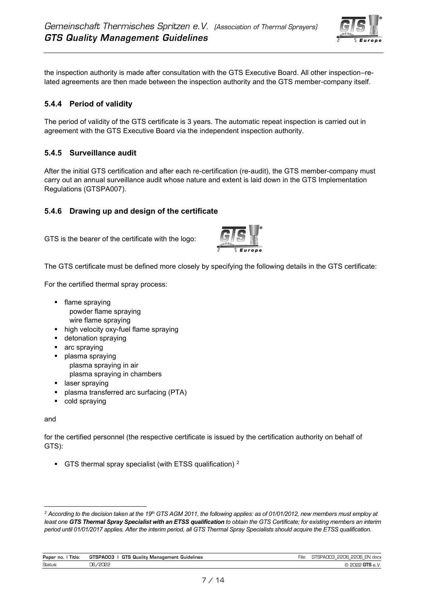

the inspection authority is made after consultation with the GTS Executive Board. All other inspection–related agreements are then made between the inspection authority and the GTS member-company itself.

# **5.4.4 Period of validity**

The period of validity of the GTS certificate is 3 years. The automatic repeat inspection is carried out in agreement with the GTS Executive Board via the independent inspection authority.

## **5.4.5 Surveillance audit**

After the initial GTS certification and after each re-certification (re-audit), the GTS member-company must carry out an annual surveillance audit whose nature and extent is laid down in the GTS Implementation Regulations (GTSPA007).

## **5.4.6 Drawing up and design of the certificate**

GTS is the bearer of the certificate with the logo:



The GTS certificate must be defined more closely by specifying the following details in the GTS certificate:

For the certified thermal spray process:

- flame spraying powder flame spraying wire flame spraying
- high velocity oxy-fuel flame spraying
- detonation spraying
- arc spraying
- plasma spraying plasma spraying in air plasma spraying in chambers
- laser spraying
- plasma transferred arc surfacing (PTA)
- cold spraying

#### and

for the certified personnel (the respective certificate is issued by the certification authority on behalf of GTS):

■ GTS thermal spray specialist (with ETSS qualification) <sup>2</sup>

*<sup>2</sup> According to the decision taken at the 19th GTS AGM 2011, the following applies: as of 01/01/2012, new members must employ at least one GTS Thermal Spray Specialist with an ETSS qualification to obtain the GTS Certificate; for existing members an interim period until 01/01/2017 applies. After the interim period, all GTS Thermal Spray Specialists should acquire the ETSS qualification.*

| Paper no.<br>Title: | l GTS Quality Management (<br>GTSPA003<br>Guidelines | $\mathbf{r}$<br>File: | GTSPA003 2206 2206 EN.docx |
|---------------------|------------------------------------------------------|-----------------------|----------------------------|
| <b>Status</b>       | .7000c                                               |                       | ם ⊃דם ט                    |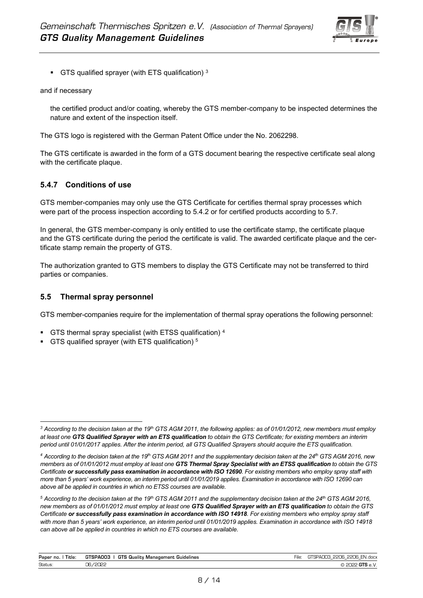

**•** GTS qualified sprayer (with ETS qualification)  $3$ 

and if necessary

the certified product and/or coating, whereby the GTS member-company to be inspected determines the nature and extent of the inspection itself.

The GTS logo is registered with the German Patent Office under the No. 2062298.

The GTS certificate is awarded in the form of a GTS document bearing the respective certificate seal along with the certificate plaque.

# **5.4.7 Conditions of use**

GTS member-companies may only use the GTS Certificate for certifies thermal spray processes which were part of the process inspection according to 5.4.2 or for certified products according to 5.7.

In general, the GTS member-company is only entitled to use the certificate stamp, the certificate plaque and the GTS certificate during the period the certificate is valid. The awarded certificate plaque and the certificate stamp remain the property of GTS.

The authorization granted to GTS members to display the GTS Certificate may not be transferred to third parties or companies.

#### **5.5 Thermal spray personnel**

GTS member-companies require for the implementation of thermal spray operations the following personnel:

- GTS thermal spray specialist (with ETSS qualification) 4
- GTS qualified sprayer (with ETS qualification) 5

*<sup>5</sup> According to the decision taken at the 19th GTS AGM 2011 and the supplementary decision taken at the 24th GTS AGM 2016, new members as of 01/01/2012 must employ at least one GTS Qualified Sprayer with an ETS qualification to obtain the GTS Certificate or successfully pass examination in accordance with ISO 14918. For existing members who employ spray staff with more than 5 years' work experience, an interim period until 01/01/2019 applies. Examination in accordance with ISO 14918 can above all be applied in countries in which no ETS courses are available.*

| Paper no.<br>l itle: | GTSPA003<br>GTS<br>Guidelines<br>Quality Management | $-1$<br>nnne<br>2206<br>EN.docx<br>SDAr<br>lle.<br>ж<br>w.<br> |
|----------------------|-----------------------------------------------------|----------------------------------------------------------------|
| Status:              | /2022<br>----                                       | . .                                                            |

*<sup>3</sup> According to the decision taken at the 19th GTS AGM 2011, the following applies: as of 01/01/2012, new members must employ at least one GTS Qualified Sprayer with an ETS qualification to obtain the GTS Certificate; for existing members an interim period until 01/01/2017 applies. After the interim period, all GTS Qualified Sprayers should acquire the ETS qualification.*

*<sup>4</sup> According to the decision taken at the 19th GTS AGM 2011 and the supplementary decision taken at the 24th GTS AGM 2016, new members as of 01/01/2012 must employ at least one GTS Thermal Spray Specialist with an ETSS qualification to obtain the GTS Certificate or successfully pass examination in accordance with ISO 12690. For existing members who employ spray staff with more than 5 years' work experience, an interim period until 01/01/2019 applies. Examination in accordance with ISO 12690 can above all be applied in countries in which no ETSS courses are available.*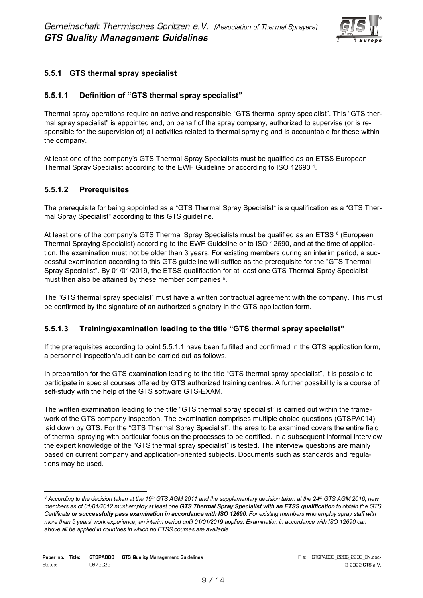<span id="page-10-0"></span>

# **5.5.1 GTS thermal spray specialist**

# **5.5.1.1 Definition of "GTS thermal spray specialist"**

Thermal spray operations require an active and responsible "GTS thermal spray specialist". This "GTS thermal spray specialist" is appointed and, on behalf of the spray company, authorized to supervise (or is responsible for the supervision of) all activities related to thermal spraying and is accountable for these within the company.

At least one of the company's GTS Thermal Spray Specialists must be qualified as an ETSS European Thermal Spray Specialist according to the EWF Guideline or according to ISO 12690 <sup>4</sup> .

## **5.5.1.2 Prerequisites**

The prerequisite for being appointed as a "GTS Thermal Spray Specialist" is a qualification as a "GTS Thermal Spray Specialist" according to this GTS guideline.

At least one of the company's GTS Thermal Spray Specialists must be qualified as an ETSS  $^6$  (European  $\,$ Thermal Spraying Specialist) according to the EWF Guideline or to ISO 12690, and at the time of application, the examination must not be older than 3 years. For existing members during an interim period, a successful examination according to this GTS guideline will suffice as the prerequisite for the "GTS Thermal Spray Specialist". By 01/01/2019, the ETSS qualification for at least one GTS Thermal Spray Specialist mustthen also be attained by these member companies  $6$ .

The "GTS thermal spray specialist" must have a written contractual agreement with the company. This must be confirmed by the signature of an authorized signatory in the GTS application form.

## **5.5.1.3 Training/examination leading to the title "GTS thermal spray specialist"**

If the prerequisites according to point 5.5.1.1 have been fulfilled and confirmed in the GTS application form, a personnel inspection/audit can be carried out as follows.

In preparation for the GTS examination leading to the title "GTS thermal spray specialist", it is possible to participate in special courses offered by GTS authorized training centres. A further possibility is a course of self-study with the help of the GTS software GTS-EXAM.

The written examination leading to the title "GTS thermal spray specialist" is carried out within the framework of the GTS company inspection. The examination comprises multiple choice questions (GTSPA014) laid down by GTS. For the "GTS Thermal Spray Specialist", the area to be examined covers the entire field of thermal spraying with particular focus on the processes to be certified. In a subsequent informal interview the expert knowledge of the "GTS thermal spray specialist" is tested. The interview questions are mainly based on current company and application-oriented subjects. Documents such as standards and regulations may be used.

*<sup>6</sup> According to the decision taken at the 19th GTS AGM 2011 and the supplementary decision taken at the 24th GTS AGM 2016, new members as of 01/01/2012 must employ at least one GTS Thermal Spray Specialist with an ETSS qualification to obtain the GTS Certificate or successfully pass examination in accordance with ISO 12690. For existing members who employ spray staff with more than 5 years' work experience, an interim period until 01/01/2019 applies. Examination in accordance with ISO 12690 can above all be applied in countries in which no ETSS courses are available.*

| Paper no.<br>l itle | GTSPA003<br><b>GTS</b><br>Guality<br>Guidelines<br>' Manadement | ---<br>ıle | חרי<br>.docx<br>- - - -<br>~~<br>--<br>۰.<br>$-$ |
|---------------------|-----------------------------------------------------------------|------------|--------------------------------------------------|
| <b>Status</b>       | ∩≘<br>--<br>---                                                 |            |                                                  |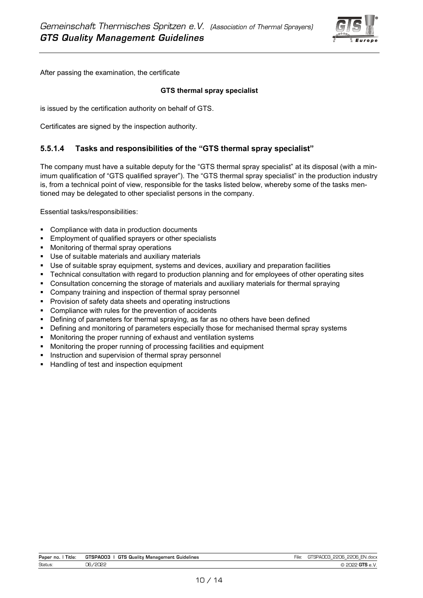

After passing the examination, the certificate

#### **GTS thermal spray specialist**

is issued by the certification authority on behalf of GTS.

Certificates are signed by the inspection authority.

## **5.5.1.4 Tasks and responsibilities of the "GTS thermal spray specialist"**

The company must have a suitable deputy for the "GTS thermal spray specialist" at its disposal (with a minimum qualification of "GTS qualified sprayer"). The "GTS thermal spray specialist" in the production industry is, from a technical point of view, responsible for the tasks listed below, whereby some of the tasks mentioned may be delegated to other specialist persons in the company.

Essential tasks/responsibilities:

- Compliance with data in production documents
- Employment of qualified sprayers or other specialists
- Monitoring of thermal spray operations
- Use of suitable materials and auxiliary materials
- Use of suitable spray equipment, systems and devices, auxiliary and preparation facilities
- Technical consultation with regard to production planning and for employees of other operating sites
- **Consultation concerning the storage of materials and auxiliary materials for thermal spraying**
- Company training and inspection of thermal spray personnel
- Provision of safety data sheets and operating instructions
- Compliance with rules for the prevention of accidents
- Defining of parameters for thermal spraying, as far as no others have been defined
- **•** Defining and monitoring of parameters especially those for mechanised thermal spray systems
- Monitoring the proper running of exhaust and ventilation systems
- Monitoring the proper running of processing facilities and equipment
- **EXEDENTIFY Instruction and supervision of thermal spray personnel**
- Handling of test and inspection equipment

| Paper no.<br><b>Title</b> | <b>GTS</b><br>GTSPA003<br>Guidelines<br>i Quality Manadement I | ∹ile | -114<br>ו∧ט⊸<br>∵ ⊢N⊾<br>N.doc><br>— —<br>.<br> |
|---------------------------|----------------------------------------------------------------|------|-------------------------------------------------|
| <b>Status</b>             | า⊂                                                             |      | .                                               |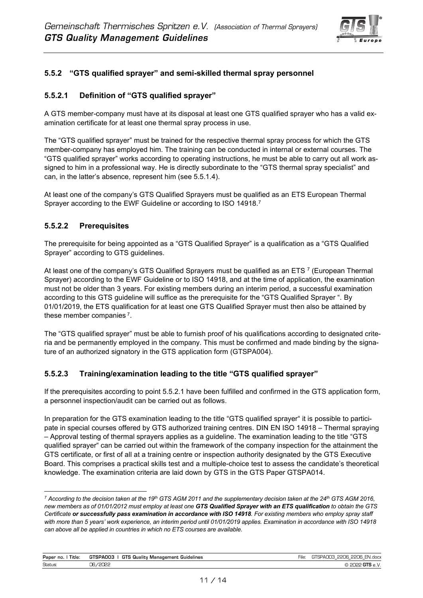

# **5.5.2 "GTS qualified sprayer" and semi-skilled thermal spray personnel**

## **5.5.2.1 Definition of "GTS qualified sprayer"**

A GTS member-company must have at its disposal at least one GTS qualified sprayer who has a valid examination certificate for at least one thermal spray process in use.

The "GTS qualified sprayer" must be trained for the respective thermal spray process for which the GTS member-company has employed him. The training can be conducted in internal or external courses. The "GTS qualified sprayer" works according to operating instructions, he must be able to carry out all work assigned to him in a professional way. He is directly subordinate to the "GTS thermal spray specialist" and can, in the latter's absence, represent him (see 5.5.1.4).

<span id="page-12-0"></span>At least one of the company's GTS Qualified Sprayers must be qualified as an ETS European Thermal Sprayer according to the EWF Guideline or according to ISO 14918. $^7$ 

# **5.5.2.2 Prerequisites**

The prerequisite for being appointed as a "GTS Qualified Sprayer" is a qualification as a "GTS Qualified Sprayer" according to GTS guidelines.

At least one of the company's GTS Qualified Sprayers must be qualified as an ETS  $^7$  $^7$  (European Thermal Sprayer) according to the EWF Guideline or to ISO 14918, and at the time of application, the examination must not be older than 3 years. For existing members during an interim period, a successful examination according to this GTS guideline will suffice as the prerequisite for the "GTS Qualified Sprayer ". By 01/01/2019, the ETS qualification for at least one GTS Qualified Sprayer must then also be attained by these member companies<sup>[7](#page-12-0)</sup>.

The "GTS qualified sprayer" must be able to furnish proof of his qualifications according to designated criteria and be permanently employed in the company. This must be confirmed and made binding by the signature of an authorized signatory in the GTS application form (GTSPA004).

## **5.5.2.3 Training/examination leading to the title "GTS qualified sprayer"**

If the prerequisites according to point 5.5.2.1 have been fulfilled and confirmed in the GTS application form, a personnel inspection/audit can be carried out as follows.

In preparation for the GTS examination leading to the title "GTS qualified sprayer" it is possible to participate in special courses offered by GTS authorized training centres. DIN EN ISO 14918 – Thermal spraying – Approval testing of thermal sprayers applies as a guideline. The examination leading to the title "GTS qualified sprayer" can be carried out within the framework of the company inspection for the attainment the GTS certificate, or first of all at a training centre or inspection authority designated by the GTS Executive Board. This comprises a practical skills test and a multiple-choice test to assess the candidate's theoretical knowledge. The examination criteria are laid down by GTS in the GTS Paper GTSPA014.

*<sup>7</sup> According to the decision taken at the 19th GTS AGM 2011 and the supplementary decision taken at the 24th GTS AGM 2016, new members as of 01/01/2012 must employ at least one GTS Qualified Sprayer with an ETS qualification to obtain the GTS Certificate or successfully pass examination in accordance with ISO 14918. For existing members who employ spray staff with more than 5 years' work experience, an interim period until 01/01/2019 applies. Examination in accordance with ISO 14918 can above all be applied in countries in which no ETS courses are available.*

| Paper no.<br>Title: | GTSPA003<br>GTS<br>, Quality Management .<br>Guidelines | ıle. | <b>PPOF</b><br>∍חרים<br>FN.docx<br><u>_</u><br>⊷<br>-<br>$-$<br>. . |
|---------------------|---------------------------------------------------------|------|---------------------------------------------------------------------|
| Status:             | าค.<br>כו וכי                                           |      |                                                                     |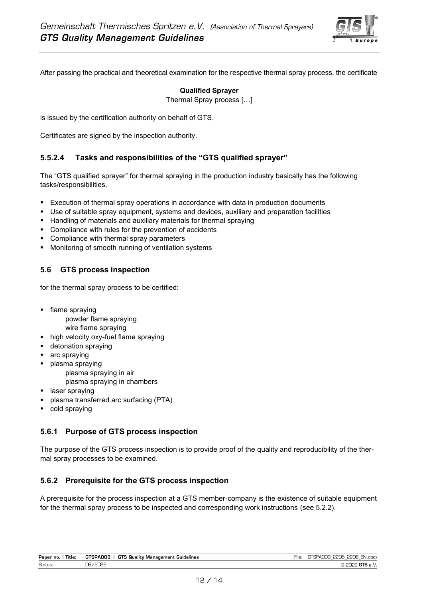

After passing the practical and theoretical examination for the respective thermal spray process, the certificate

#### **Qualified Sprayer**

Thermal Spray process […]

is issued by the certification authority on behalf of GTS.

Certificates are signed by the inspection authority.

## **5.5.2.4 Tasks and responsibilities of the "GTS qualified sprayer"**

The "GTS qualified sprayer" for thermal spraying in the production industry basically has the following tasks/responsibilities.

- Execution of thermal spray operations in accordance with data in production documents
- Use of suitable spray equipment, systems and devices, auxiliary and preparation facilities
- **EXTERN** Handling of materials and auxiliary materials for thermal spraying
- Compliance with rules for the prevention of accidents
- Compliance with thermal spray parameters
- Monitoring of smooth running of ventilation systems

## **5.6 GTS process inspection**

for the thermal spray process to be certified:

- flame spraying
	- powder flame spraying
	- wire flame spraying
- high velocity oxy-fuel flame spraying
- detonation spraying
- arc spraying
- plasma spraying
	- plasma spraying in air
	- plasma spraying in chambers
- laser spraying
- plasma transferred arc surfacing (PTA)
- cold spraying

## **5.6.1 Purpose of GTS process inspection**

The purpose of the GTS process inspection is to provide proof of the quality and reproducibility of the thermal spray processes to be examined.

## **5.6.2 Prerequisite for the GTS process inspection**

A prerequisite for the process inspection at a GTS member-company is the existence of suitable equipment for the thermal spray process to be inspected and corresponding work instructions (se[e 5.2.2\)](#page-6-0).

| Paper no.<br>Title: | <b>GTS</b><br>GTSPA003<br>र Quality Management<br>Guidelines | <b>PPOR</b><br>2206 L<br>EN.docx |
|---------------------|--------------------------------------------------------------|----------------------------------|
| Status:             | zenes<br>76.                                                 |                                  |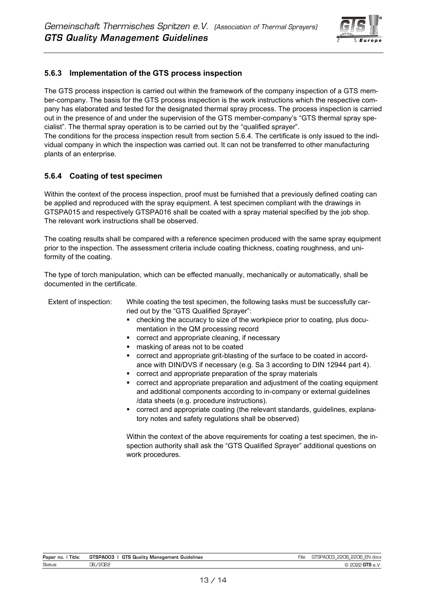

# **5.6.3 Implementation of the GTS process inspection**

The GTS process inspection is carried out within the framework of the company inspection of a GTS member-company. The basis for the GTS process inspection is the work instructions which the respective company has elaborated and tested for the designated thermal spray process. The process inspection is carried out in the presence of and under the supervision of the GTS member-company's "GTS thermal spray specialist". The thermal spray operation is to be carried out by the "qualified sprayer".

The conditions for the process inspection result from section 5.6.4. The certificate is only issued to the individual company in which the inspection was carried out. It can not be transferred to other manufacturing plants of an enterprise.

# **5.6.4 Coating of test specimen**

Within the context of the process inspection, proof must be furnished that a previously defined coating can be applied and reproduced with the spray equipment. A test specimen compliant with the drawings in GTSPA015 and respectively GTSPA016 shall be coated with a spray material specified by the job shop. The relevant work instructions shall be observed.

The coating results shall be compared with a reference specimen produced with the same spray equipment prior to the inspection. The assessment criteria include coating thickness, coating roughness, and uniformity of the coating.

The type of torch manipulation, which can be effected manually, mechanically or automatically, shall be documented in the certificate.

| While coating the test specimen, the following tasks must be successfully car-<br>ried out by the "GTS Qualified Sprayer":<br>checking the accuracy to size of the workpiece prior to coating, plus docu-<br>mentation in the QM processing record<br>correct and appropriate cleaning, if necessary<br>٠<br>masking of areas not to be coated<br>٠<br>correct and appropriate grit-blasting of the surface to be coated in accord-<br>٠<br>ance with DIN/DVS if necessary (e.g. Sa 3 according to DIN 12944 part 4).<br>correct and appropriate preparation of the spray materials<br>correct and appropriate preparation and adjustment of the coating equipment<br>٠<br>and additional components according to in-company or external guidelines<br>/data sheets (e.g. procedure instructions).<br>• correct and appropriate coating (the relevant standards, guidelines, explana-<br>tory notes and safety regulations shall be observed) |
|-----------------------------------------------------------------------------------------------------------------------------------------------------------------------------------------------------------------------------------------------------------------------------------------------------------------------------------------------------------------------------------------------------------------------------------------------------------------------------------------------------------------------------------------------------------------------------------------------------------------------------------------------------------------------------------------------------------------------------------------------------------------------------------------------------------------------------------------------------------------------------------------------------------------------------------------------|
| Within the context of the above requirements for coating a test specimen, the in-<br>spection authority shall ask the "GTS Qualified Sprayer" additional questions on<br>work procedures.                                                                                                                                                                                                                                                                                                                                                                                                                                                                                                                                                                                                                                                                                                                                                     |
|                                                                                                                                                                                                                                                                                                                                                                                                                                                                                                                                                                                                                                                                                                                                                                                                                                                                                                                                               |

| Paper no.<br>Title: | <b>GTSPAOO3   GTS Quality Management Guidelines</b> | GTSPA003 2206 2206 EN.docx |
|---------------------|-----------------------------------------------------|----------------------------|
| Status:             | 06/2022                                             | $\circ$ 2022 GTS e.V.      |
|                     |                                                     |                            |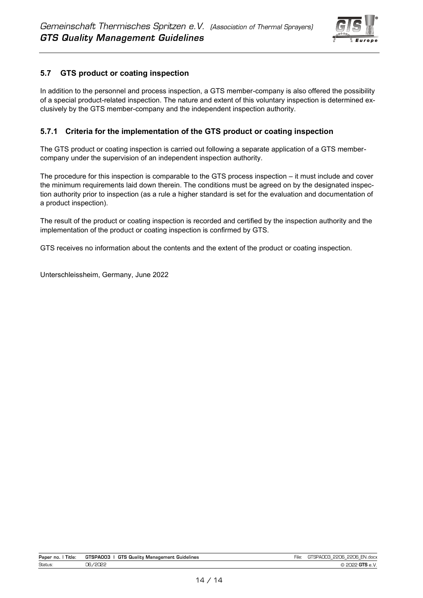

# **5.7 GTS product or coating inspection**

In addition to the personnel and process inspection, a GTS member-company is also offered the possibility of a special product-related inspection. The nature and extent of this voluntary inspection is determined exclusively by the GTS member-company and the independent inspection authority.

#### **5.7.1 Criteria for the implementation of the GTS product or coating inspection**

The GTS product or coating inspection is carried out following a separate application of a GTS membercompany under the supervision of an independent inspection authority.

The procedure for this inspection is comparable to the GTS process inspection – it must include and cover the minimum requirements laid down therein. The conditions must be agreed on by the designated inspection authority prior to inspection (as a rule a higher standard is set for the evaluation and documentation of a product inspection).

The result of the product or coating inspection is recorded and certified by the inspection authority and the implementation of the product or coating inspection is confirmed by GTS.

GTS receives no information about the contents and the extent of the product or coating inspection.

Unterschleissheim, Germany, June 2022

| Paper no.<br>Title: | <br>GTSPA003<br>GTS<br>Guality<br>Guidelines<br>Management | -<br>ıle | $\sim$ 0000 $\sim$<br>$\sim$<br>٦NI<br>N.docx<br>--<br>$\sim$<br>$\equiv$<br>$\overline{\phantom{a}}$ |
|---------------------|------------------------------------------------------------|----------|-------------------------------------------------------------------------------------------------------|
| <b>Status</b>       | 10000<br>~~<br>-<br>ັ<br>ᅳᅳ                                |          | . .                                                                                                   |